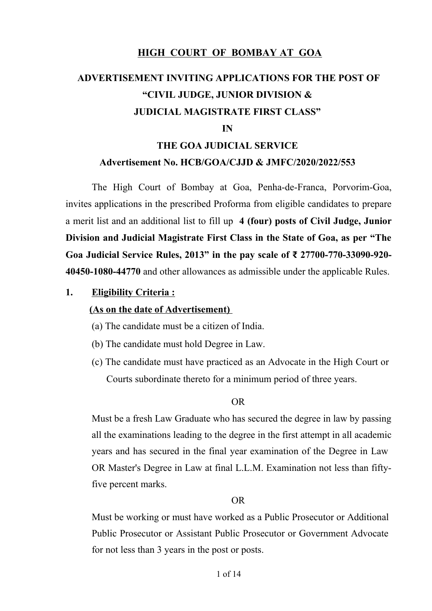## **HIGH COURT OF BOMBAY AT GOA**

# **ADVERTISEMENT INVITING APPLICATIONS FOR THE POST OF "CIVIL JUDGE, JUNIOR DIVISION & JUDICIAL MAGISTRATE FIRST CLASS"**

#### **IN**

## **THE GOA JUDICIAL SERVICE Advertisement No. HCB/GOA/CJJD & JMFC/2020/2022/553**

The High Court of Bombay at Goa, Penha-de-Franca, Porvorim-Goa, invites applications in the prescribed Proforma from eligible candidates to prepare a merit list and an additional list to fill up **4 (four) posts of Civil Judge, Junior Division and Judicial Magistrate First Class in the State of Goa, as per "The Goa Judicial Service Rules, 2013" in the pay scale of ₹ 27700-770-33090-920- 40450-1080-44770** and other allowances as admissible under the applicable Rules.

**1. Eligibility Criteria :** 

#### **(As on the date of Advertisement)**

- (a) The candidate must be a citizen of India.
- (b) The candidate must hold Degree in Law.
- (c) The candidate must have practiced as an Advocate in the High Court or Courts subordinate thereto for a minimum period of three years.

#### OR

Must be a fresh Law Graduate who has secured the degree in law by passing all the examinations leading to the degree in the first attempt in all academic years and has secured in the final year examination of the Degree in Law OR Master's Degree in Law at final L.L.M. Examination not less than fiftyfive percent marks.

#### OR

Must be working or must have worked as a Public Prosecutor or Additional Public Prosecutor or Assistant Public Prosecutor or Government Advocate for not less than 3 years in the post or posts.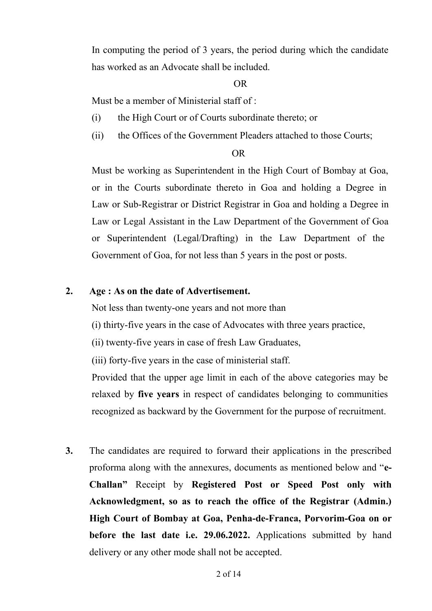In computing the period of 3 years, the period during which the candidate has worked as an Advocate shall be included.

#### OR

Must be a member of Ministerial staff of :

- (i) the High Court or of Courts subordinate thereto; or
- (ii) the Offices of the Government Pleaders attached to those Courts;

#### OR

Must be working as Superintendent in the High Court of Bombay at Goa, or in the Courts subordinate thereto in Goa and holding a Degree in Law or Sub-Registrar or District Registrar in Goa and holding a Degree in Law or Legal Assistant in the Law Department of the Government of Goa or Superintendent (Legal/Drafting) in the Law Department of the Government of Goa, for not less than 5 years in the post or posts.

#### **2. Age : As on the date of Advertisement.**

Not less than twenty-one years and not more than

(i) thirty-five years in the case of Advocates with three years practice,

(ii) twenty-five years in case of fresh Law Graduates,

(iii) forty-five years in the case of ministerial staff.

Provided that the upper age limit in each of the above categories may be relaxed by **five years** in respect of candidates belonging to communities recognized as backward by the Government for the purpose of recruitment.

**3.** The candidates are required to forward their applications in the prescribed proforma along with the annexures, documents as mentioned below and "**e-Challan"** Receipt by **Registered Post or Speed Post only with Acknowledgment, so as to reach the office of the Registrar (Admin.) High Court of Bombay at Goa, Penha-de-Franca, Porvorim-Goa on or before the last date i.e. 29.06.2022.** Applications submitted by hand delivery or any other mode shall not be accepted.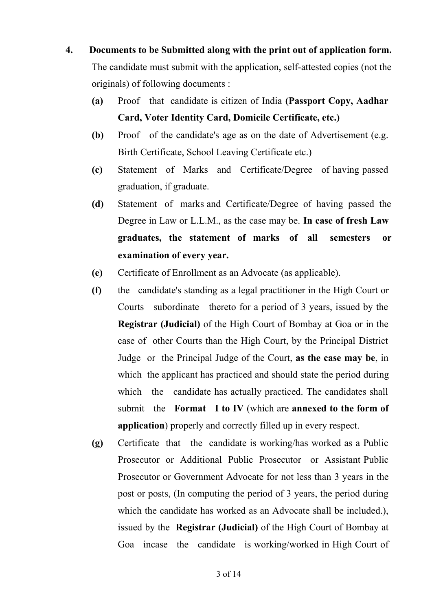- **4. Documents to be Submitted along with the print out of application form.** The candidate must submit with the application, self-attested copies (not the originals) of following documents :
	- **(a)** Proof that candidate is citizen of India **(Passport Copy, Aadhar Card, Voter Identity Card, Domicile Certificate, etc.)**
	- **(b)** Proof of the candidate's age as on the date of Advertisement (e.g. Birth Certificate, School Leaving Certificate etc.)
	- **(c)** Statement of Marks and Certificate/Degree of having passed graduation, if graduate.
	- **(d)** Statement of marks and Certificate/Degree of having passed the Degree in Law or L.L.M., as the case may be. **In case of fresh Law graduates, the statement of marks of all semesters or examination of every year.**
	- **(e)** Certificate of Enrollment as an Advocate (as applicable).
	- **(f)** the candidate's standing as a legal practitioner in the High Court or Courts subordinate thereto for a period of 3 years, issued by the **Registrar (Judicial)** of the High Court of Bombay at Goa or in the case of other Courts than the High Court, by the Principal District Judge or the Principal Judge of the Court, **as the case may be**, in which the applicant has practiced and should state the period during which the candidate has actually practiced. The candidates shall submit the **Format I to IV** (which are **annexed to the form of application**) properly and correctly filled up in every respect.
	- **(g)** Certificate that the candidate is working/has worked as a Public Prosecutor or Additional Public Prosecutor or Assistant Public Prosecutor or Government Advocate for not less than 3 years in the post or posts, (In computing the period of 3 years, the period during which the candidate has worked as an Advocate shall be included.), issued by the **Registrar (Judicial)** of the High Court of Bombay at Goa incase the candidate is working/worked in High Court of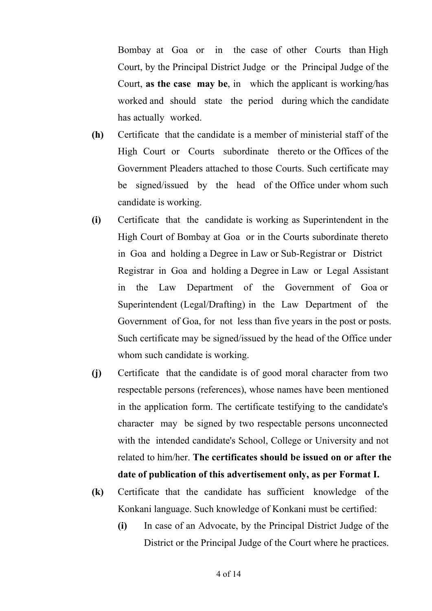Bombay at Goa or in the case of other Courts than High Court, by the Principal District Judge or the Principal Judge of the Court, **as the case may be**, in which the applicant is working/has worked and should state the period during which the candidate has actually worked.

- **(h)** Certificate that the candidate is a member of ministerial staff of the High Court or Courts subordinate thereto or the Offices of the Government Pleaders attached to those Courts. Such certificate may be signed/issued by the head of the Office under whom such candidate is working.
- **(i)** Certificate that the candidate is working as Superintendent in the High Court of Bombay at Goa or in the Courts subordinate thereto in Goa and holding a Degree in Law or Sub-Registrar or District Registrar in Goa and holding a Degree in Law or Legal Assistant in the Law Department of the Government of Goa or Superintendent (Legal/Drafting) in the Law Department of the Government of Goa, for not less than five years in the post or posts. Such certificate may be signed/issued by the head of the Office under whom such candidate is working.
- **(j)** Certificate that the candidate is of good moral character from two respectable persons (references), whose names have been mentioned in the application form. The certificate testifying to the candidate's character may be signed by two respectable persons unconnected with the intended candidate's School, College or University and not related to him/her. **The certificates should be issued on or after the date of publication of this advertisement only, as per Format I.**
- **(k)** Certificate that the candidate has sufficient knowledge of the Konkani language. Such knowledge of Konkani must be certified:
	- **(i)** In case of an Advocate, by the Principal District Judge of the District or the Principal Judge of the Court where he practices.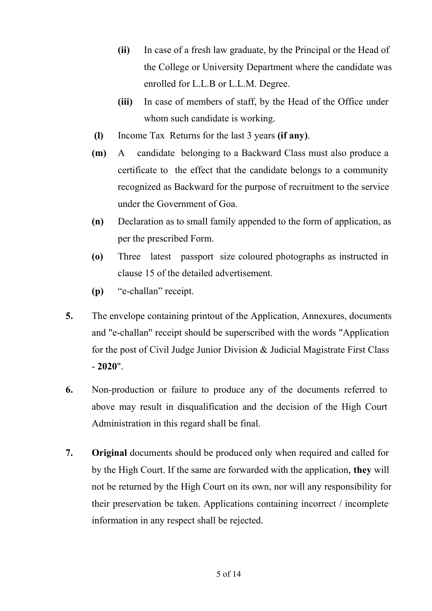- **(ii)** In case of a fresh law graduate, by the Principal or the Head of the College or University Department where the candidate was enrolled for L.L.B or L.L.M. Degree.
- **(iii)** In case of members of staff, by the Head of the Office under whom such candidate is working.
- **(l)** Income Tax Returns for the last 3 years **(if any)**.
- **(m)** A candidate belonging to a Backward Class must also produce a certificate to the effect that the candidate belongs to a community recognized as Backward for the purpose of recruitment to the service under the Government of Goa.
- **(n)** Declaration as to small family appended to the form of application, as per the prescribed Form.
- **(o)** Three latest passport size coloured photographs as instructed in clause 15 of the detailed advertisement.
- **(p)** "e-challan" receipt.
- **5.** The envelope containing printout of the Application, Annexures, documents and "e-challan" receipt should be superscribed with the words "Application for the post of Civil Judge Junior Division & Judicial Magistrate First Class - **2020**".
- **6.** Non-production or failure to produce any of the documents referred to above may result in disqualification and the decision of the High Court Administration in this regard shall be final.
- **7. Original** documents should be produced only when required and called for by the High Court. If the same are forwarded with the application, **they** will not be returned by the High Court on its own, nor will any responsibility for their preservation be taken. Applications containing incorrect / incomplete information in any respect shall be rejected.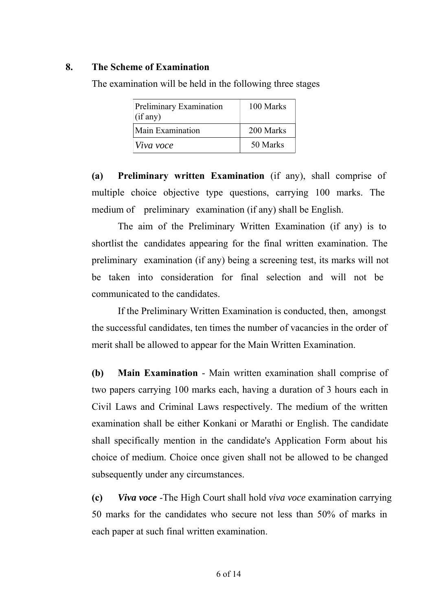### **8. The Scheme of Examination**

The examination will be held in the following three stages

| Preliminary Examination<br>$\int$ (if any) | 100 Marks |
|--------------------------------------------|-----------|
| Main Examination                           | 200 Marks |
| $ V$ iva voce                              | 50 Marks  |

**(a) Preliminary written Examination** (if any), shall comprise of multiple choice objective type questions, carrying 100 marks. The medium of preliminary examination (if any) shall be English.

The aim of the Preliminary Written Examination (if any) is to shortlist the candidates appearing for the final written examination. The preliminary examination (if any) being a screening test, its marks will not be taken into consideration for final selection and will not be communicated to the candidates.

If the Preliminary Written Examination is conducted, then, amongst the successful candidates, ten times the number of vacancies in the order of merit shall be allowed to appear for the Main Written Examination.

**(b) Main Examination** - Main written examination shall comprise of two papers carrying 100 marks each, having a duration of 3 hours each in Civil Laws and Criminal Laws respectively. The medium of the written examination shall be either Konkani or Marathi or English. The candidate shall specifically mention in the candidate's Application Form about his choice of medium. Choice once given shall not be allowed to be changed subsequently under any circumstances.

**(c)** *Viva voce* -The High Court shall hold *viva voce* examination carrying 50 marks for the candidates who secure not less than 50% of marks in each paper at such final written examination.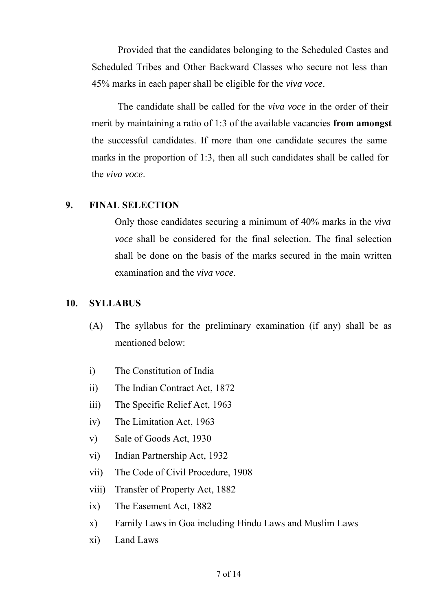Provided that the candidates belonging to the Scheduled Castes and Scheduled Tribes and Other Backward Classes who secure not less than 45% marks in each paper shall be eligible for the *viva voce*.

The candidate shall be called for the *viva voce* in the order of their merit by maintaining a ratio of 1:3 of the available vacancies **from amongst** the successful candidates. If more than one candidate secures the same marks in the proportion of 1:3, then all such candidates shall be called for the *viva voce*.

#### **9. FINAL SELECTION**

Only those candidates securing a minimum of 40% marks in the *viva voce* shall be considered for the final selection. The final selection shall be done on the basis of the marks secured in the main written examination and the *viva voce*.

#### **10. SYLLABUS**

- (A) The syllabus for the preliminary examination (if any) shall be as mentioned below:
- i) The Constitution of India
- ii) The Indian Contract Act, 1872
- iii) The Specific Relief Act, 1963
- iv) The Limitation Act, 1963
- v) Sale of Goods Act, 1930
- vi) Indian Partnership Act, 1932
- vii) The Code of Civil Procedure, 1908
- viii) Transfer of Property Act, 1882
- ix) The Easement Act, 1882
- x) Family Laws in Goa including Hindu Laws and Muslim Laws
- xi) Land Laws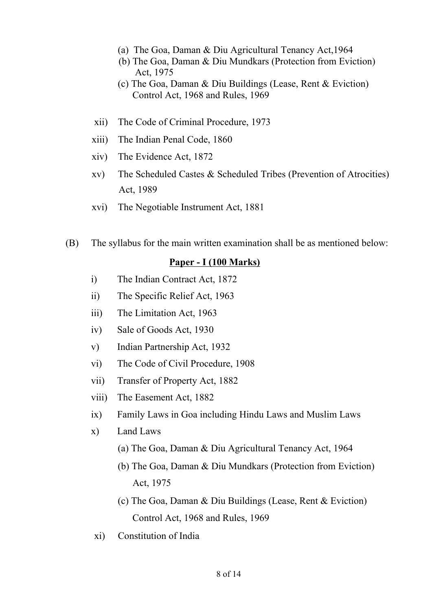- (a) The Goa, Daman & Diu Agricultural Tenancy Act,1964
- (b) The Goa, Daman & Diu Mundkars (Protection from Eviction) Act, 1975
- (c) The Goa, Daman & Diu Buildings (Lease, Rent & Eviction) Control Act, 1968 and Rules, 1969
- xii) The Code of Criminal Procedure, 1973
- xiii) The Indian Penal Code, 1860
- xiv) The Evidence Act, 1872
- xv) The Scheduled Castes & Scheduled Tribes (Prevention of Atrocities) Act, 1989
- xvi) The Negotiable Instrument Act, 1881
- (B) The syllabus for the main written examination shall be as mentioned below:

#### **Paper - I (100 Marks)**

- i) The Indian Contract Act, 1872
- ii) The Specific Relief Act, 1963
- iii) The Limitation Act, 1963
- iv) Sale of Goods Act, 1930
- v) Indian Partnership Act, 1932
- vi) The Code of Civil Procedure, 1908
- vii) Transfer of Property Act, 1882
- viii) The Easement Act, 1882
- ix) Family Laws in Goa including Hindu Laws and Muslim Laws
- x) Land Laws
	- (a) The Goa, Daman & Diu Agricultural Tenancy Act, 1964
	- (b) The Goa, Daman & Diu Mundkars (Protection from Eviction) Act, 1975
	- (c) The Goa, Daman & Diu Buildings (Lease, Rent & Eviction) Control Act, 1968 and Rules, 1969
- xi) Constitution of India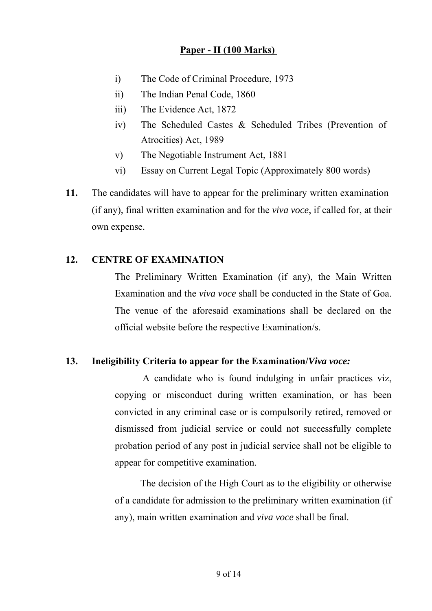### **Paper - II (100 Marks)**

- i) The Code of Criminal Procedure, 1973
- ii) The Indian Penal Code, 1860
- iii) The Evidence Act, 1872
- iv) The Scheduled Castes & Scheduled Tribes (Prevention of Atrocities) Act, 1989
- v) The Negotiable Instrument Act, 1881
- vi) Essay on Current Legal Topic (Approximately 800 words)
- **11.** The candidates will have to appear for the preliminary written examination (if any), final written examination and for the *viva voce*, if called for, at their own expense.

#### **12. CENTRE OF EXAMINATION**

The Preliminary Written Examination (if any), the Main Written Examination and the *viva voce* shall be conducted in the State of Goa. The venue of the aforesaid examinations shall be declared on the official website before the respective Examination/s.

## **13. Ineligibility Criteria to appear for the Examination/***Viva voce:*

A candidate who is found indulging in unfair practices viz, copying or misconduct during written examination, or has been convicted in any criminal case or is compulsorily retired, removed or dismissed from judicial service or could not successfully complete probation period of any post in judicial service shall not be eligible to appear for competitive examination.

The decision of the High Court as to the eligibility or otherwise of a candidate for admission to the preliminary written examination (if any), main written examination and *viva voce* shall be final.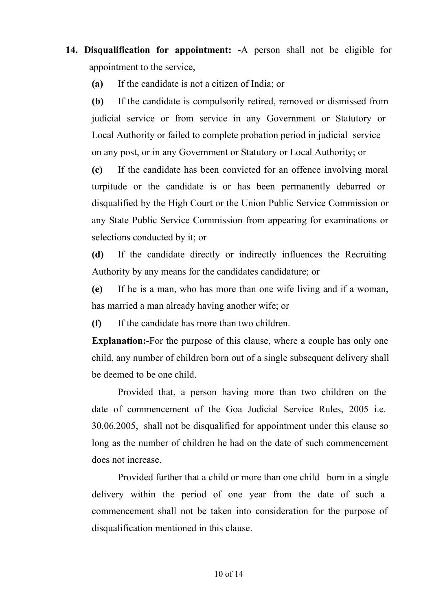**14. Disqualification for appointment: -**A person shall not be eligible for appointment to the service,

**(a)** If the candidate is not a citizen of India; or

**(b)** If the candidate is compulsorily retired, removed or dismissed from judicial service or from service in any Government or Statutory or Local Authority or failed to complete probation period in judicial service on any post, or in any Government or Statutory or Local Authority; or

**(c)** If the candidate has been convicted for an offence involving moral turpitude or the candidate is or has been permanently debarred or disqualified by the High Court or the Union Public Service Commission or any State Public Service Commission from appearing for examinations or selections conducted by it; or

**(d)** If the candidate directly or indirectly influences the Recruiting Authority by any means for the candidates candidature; or

**(e)** If he is a man, who has more than one wife living and if a woman, has married a man already having another wife; or

**(f)** If the candidate has more than two children.

**Explanation:-**For the purpose of this clause, where a couple has only one child, any number of children born out of a single subsequent delivery shall be deemed to be one child.

Provided that, a person having more than two children on the date of commencement of the Goa Judicial Service Rules, 2005 i.e. 30.06.2005, shall not be disqualified for appointment under this clause so long as the number of children he had on the date of such commencement does not increase.

Provided further that a child or more than one child born in a single delivery within the period of one year from the date of such a commencement shall not be taken into consideration for the purpose of disqualification mentioned in this clause.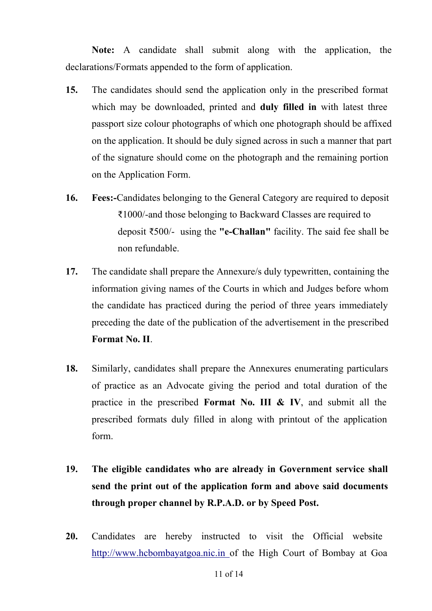**Note:** A candidate shall submit along with the application, the declarations/Formats appended to the form of application.

- **15.** The candidates should send the application only in the prescribed format which may be downloaded, printed and **duly filled in** with latest three passport size colour photographs of which one photograph should be affixed on the application. It should be duly signed across in such a manner that part of the signature should come on the photograph and the remaining portion on the Application Form.
- **16. Fees:-**Candidates belonging to the General Category are required to deposit ₹1000/-and those belonging to Backward Classes are required to deposit ₹500/- using the **"e-Challan"** facility. The said fee shall be non refundable.
- **17.** The candidate shall prepare the Annexure/s duly typewritten, containing the information giving names of the Courts in which and Judges before whom the candidate has practiced during the period of three years immediately preceding the date of the publication of the advertisement in the prescribed **Format No. II**.
- **18.** Similarly, candidates shall prepare the Annexures enumerating particulars of practice as an Advocate giving the period and total duration of the practice in the prescribed **Format No. III & IV**, and submit all the prescribed formats duly filled in along with printout of the application form.
- **19. The eligible candidates who are already in Government service shall send the print out of the application form and above said documents through proper channel by R.P.A.D. or by Speed Post.**
- **20.** Candidates are hereby instructed to visit the Official website http://www.hcbombayatgoa.nic.in of the High Court of Bombay at Goa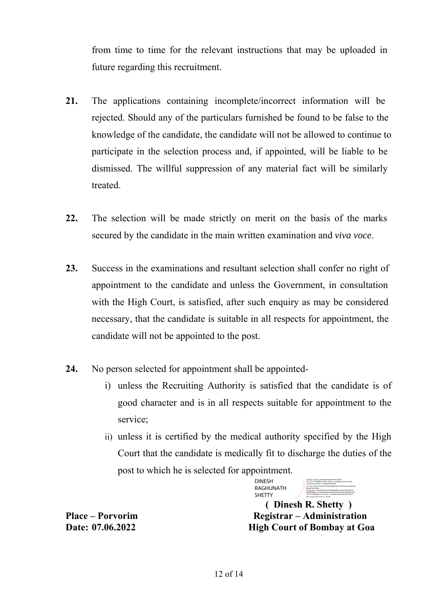from time to time for the relevant instructions that may be uploaded in future regarding this recruitment.

- **21.** The applications containing incomplete/incorrect information will be rejected. Should any of the particulars furnished be found to be false to the knowledge of the candidate, the candidate will not be allowed to continue to participate in the selection process and, if appointed, will be liable to be dismissed. The willful suppression of any material fact will be similarly treated.
- **22.** The selection will be made strictly on merit on the basis of the marks secured by the candidate in the main written examination and *viva voce*.
- **23.** Success in the examinations and resultant selection shall confer no right of appointment to the candidate and unless the Government, in consultation with the High Court, is satisfied, after such enquiry as may be considered necessary, that the candidate is suitable in all respects for appointment, the candidate will not be appointed to the post.
- **24.** No person selected for appointment shall be appointed
	- i) unless the Recruiting Authority is satisfied that the candidate is of good character and is in all respects suitable for appointment to the service;
	- ii) unless it is certified by the medical authority specified by the High Court that the candidate is medically fit to discharge the duties of the post to which he is selected for appointment.

DINESH RAGHUNATH **SHETTY** 

Digitally signed by DINESH RAGHUNATH SHETTY DN: c=IN, o=BOMBAY HIGH COURT, ou=BOMBAY HIGH COURT, postalCode=400001, st=MAHARASHTRA, 2.5.4.20=247602cd45d667fbf6e6988332f4767f73f0a00155b48ed05 8f0ba5530cf40be, pseudonym=74DC897FE46E27A48A2B58B507560E138C3EED2B, serialNumber=E17B02E82A98A230F5DA9F9F81832F428AE933C82 1FDCC318654B81713C5A266, cn=DINESH RAGHUNATH SHETTY Date: 2022.06.09 10:47:37 +05'30'

 **( Dinesh R. Shetty ) Place – Porvorim Registrar – Administration Date: 07.06.2022 High Court of Bombay at Goa**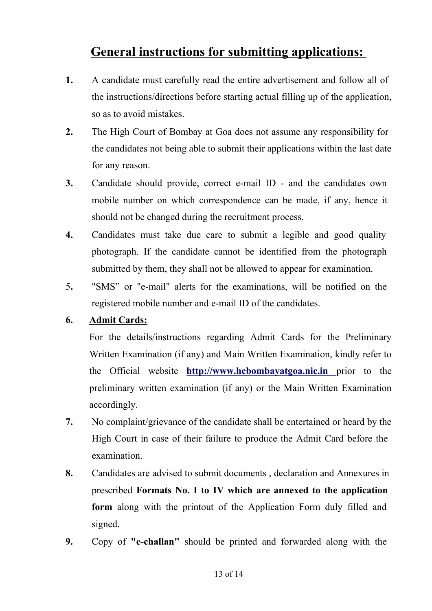# **General instructions for submitting applications:**

- **1.** A candidate must carefully read the entire advertisement and follow all of the instructions/directions before starting actual filling up of the application, so as to avoid mistakes.
- **2.** The High Court of Bombay at Goa does not assume any responsibility for the candidates not being able to submit their applications within the last date for any reason.
- **3.** Candidate should provide, correct e-mail ID and the candidates own mobile number on which correspondence can be made, if any, hence it should not be changed during the recruitment process.
- **4.** Candidates must take due care to submit a legible and good quality photograph. If the candidate cannot be identified from the photograph submitted by them, they shall not be allowed to appear for examination.
- 5**.** "SMS" or "e-mail" alerts for the examinations, will be notified on the registered mobile number and e-mail ID of the candidates.

## **6. Admit Cards:**

For the details/instructions regarding Admit Cards for the Preliminary Written Examination (if any) and Main Written Examination, kindly refer to the Official website **http://www.hcbombayatgoa.nic.in** prior to the preliminary written examination (if any) or the Main Written Examination accordingly.

- **7.** No complaint/grievance of the candidate shall be entertained or heard by the High Court in case of their failure to produce the Admit Card before the examination.
- **8.** Candidates are advised to submit documents , declaration and Annexures in prescribed **Formats No. I to IV which are annexed to the application form** along with the printout of the Application Form duly filled and signed.
- **9.** Copy of **"e-challan"** should be printed and forwarded along with the